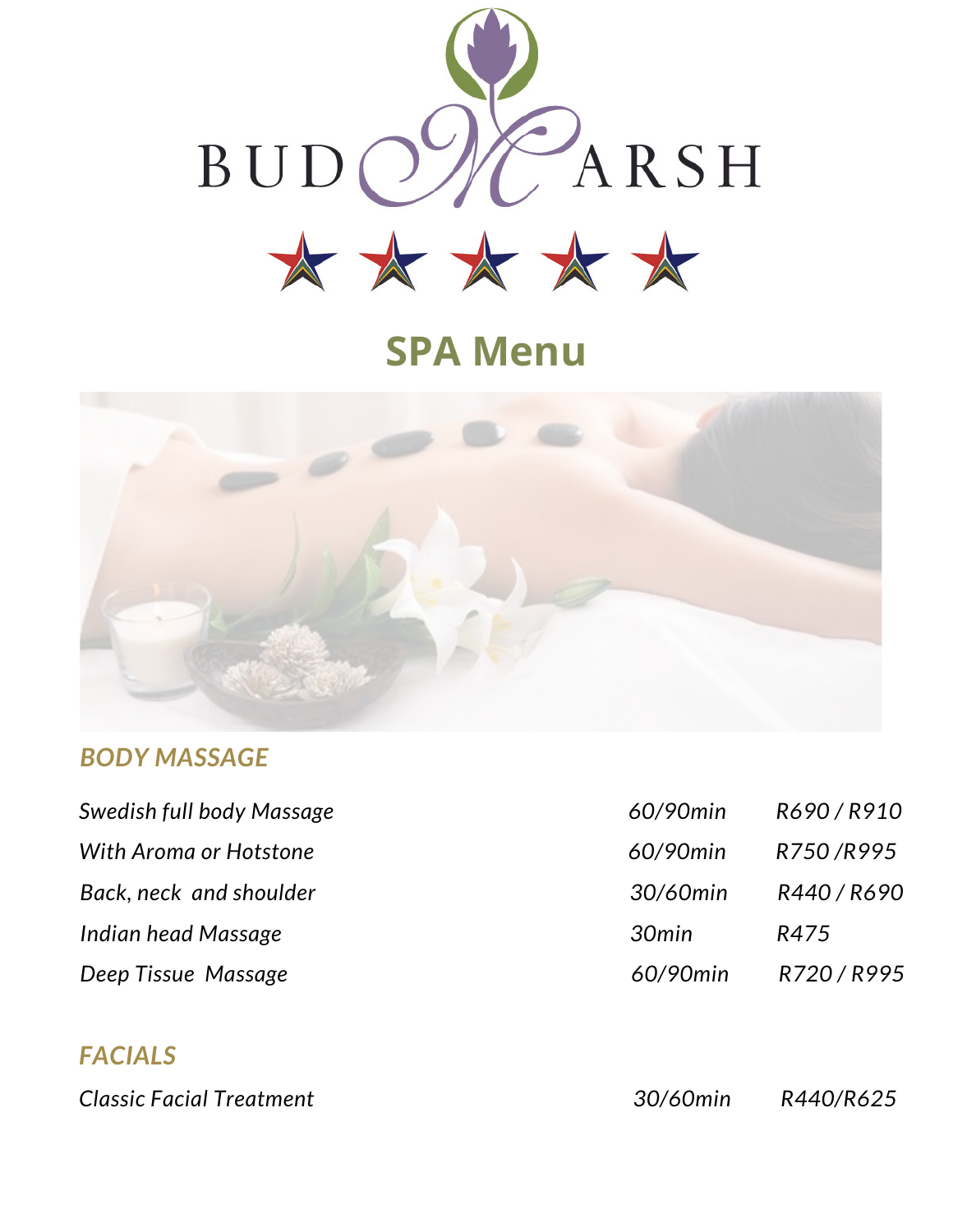

# **SPA Menu**



#### *BODY MASSAGE*

| Swedish full body Massage | 60/90min | R690/R910   |
|---------------------------|----------|-------------|
| With Aroma or Hotstone    | 60/90min | R750/R995   |
| Back, neck and shoulder   | 30/60min | R440 / R690 |
| Indian head Massage       | 30min    | R475        |
| Deep Tissue Massage       | 60/90min | R720/R995   |

### *FACIALS*

*Classic Facial Treatment 30/60min R440/R625*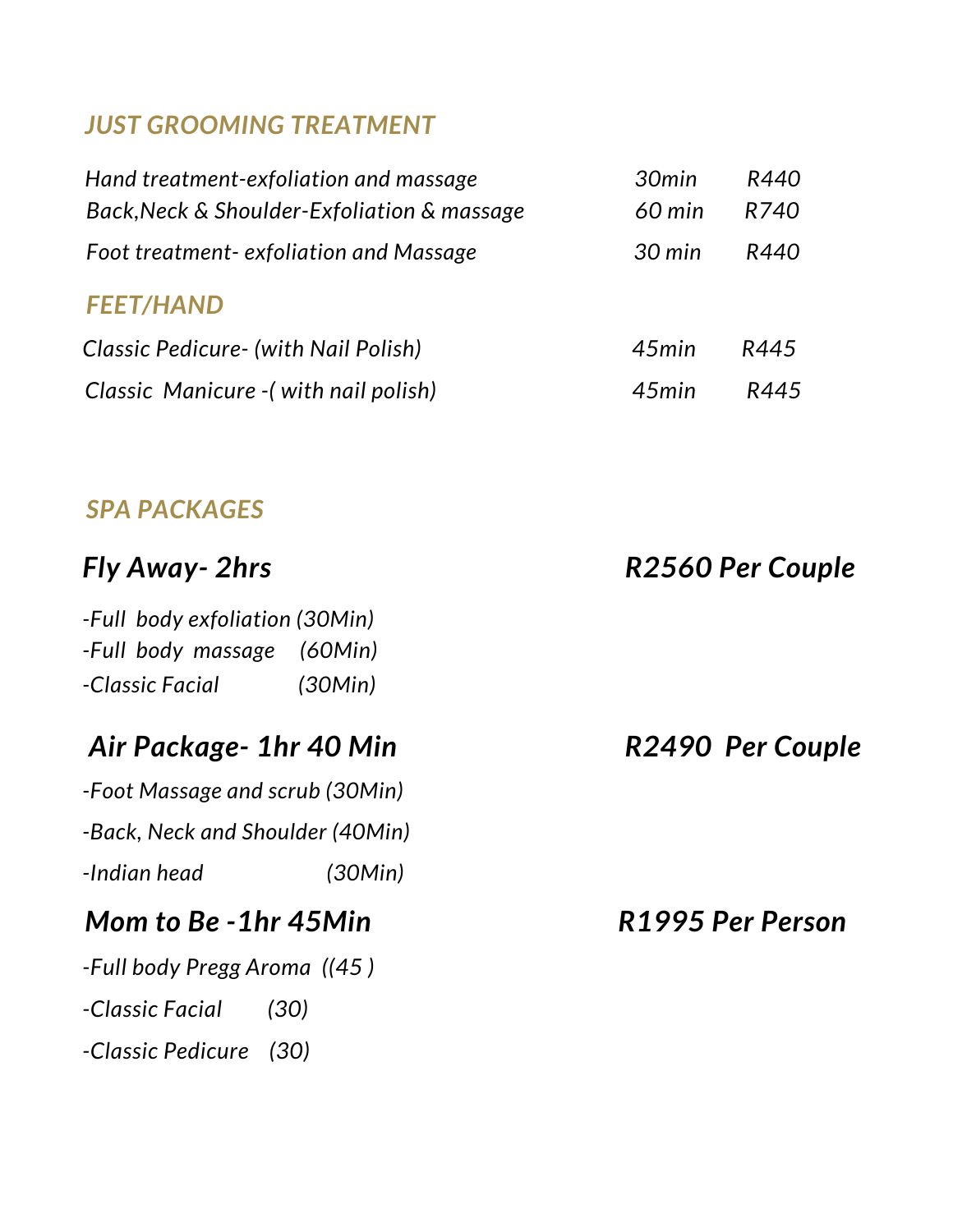## *JUST GROOMING TREATMENT*

| Hand treatment-exfoliation and massage      | 30min            | R440 |
|---------------------------------------------|------------------|------|
| Back, Neck & Shoulder-Exfoliation & massage | $60$ min         | R740 |
| Foot treatment-exfoliation and Massage      | $30 \text{ min}$ | R440 |
| <b>FEET/HAND</b>                            |                  |      |
| Classic Pedicure - (with Nail Polish)       | 45min            | R445 |
| Classic Manicure - (with nail polish)       | 45min            | R445 |

# *SPA PACKAGES*

| <b>Fly Away- 2hrs</b>                                                                      | R2560 Per Couple |
|--------------------------------------------------------------------------------------------|------------------|
| -Full body exfoliation (30Min)<br>-Full body massage (60Min)<br>-Classic Facial<br>(30Min) |                  |
| Air Package- 1hr 40 Min                                                                    | R2490 Per Couple |
| -Foot Massage and scrub (30Min)                                                            |                  |
| -Back, Neck and Shoulder (40Min)                                                           |                  |
| -Indian head<br>(30Min)                                                                    |                  |
| Mom to Be - 1hr 45Min                                                                      | R1995 Per Person |
| -Full body Pregg Aroma ((45)                                                               |                  |
| -Classic Facial<br>(30)                                                                    |                  |
| -Classic Pedicure (30)                                                                     |                  |
|                                                                                            |                  |